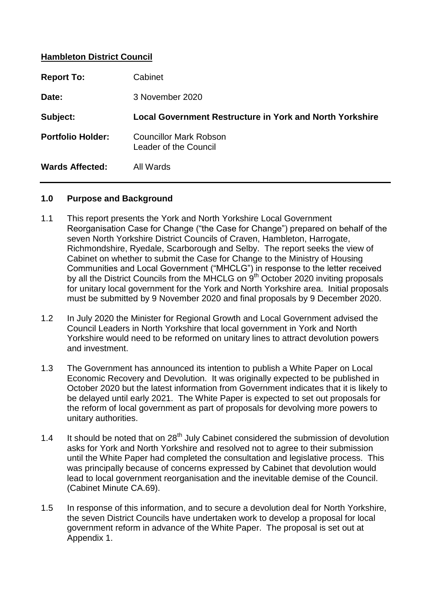### **Hambleton District Council**

| <b>Report To:</b>        | Cabinet                                                  |
|--------------------------|----------------------------------------------------------|
| Date:                    | 3 November 2020                                          |
| Subject:                 | Local Government Restructure in York and North Yorkshire |
| <b>Portfolio Holder:</b> | Councillor Mark Robson<br>Leader of the Council          |
| <b>Wards Affected:</b>   | All Wards                                                |

#### **1.0 Purpose and Background**

- 1.1 This report presents the York and North Yorkshire Local Government Reorganisation Case for Change ("the Case for Change") prepared on behalf of the seven North Yorkshire District Councils of Craven, Hambleton, Harrogate, Richmondshire, Ryedale, Scarborough and Selby. The report seeks the view of Cabinet on whether to submit the Case for Change to the Ministry of Housing Communities and Local Government ("MHCLG") in response to the letter received by all the District Councils from the MHCLG on  $9<sup>th</sup>$  October 2020 inviting proposals for unitary local government for the York and North Yorkshire area. Initial proposals must be submitted by 9 November 2020 and final proposals by 9 December 2020.
- 1.2 In July 2020 the Minister for Regional Growth and Local Government advised the Council Leaders in North Yorkshire that local government in York and North Yorkshire would need to be reformed on unitary lines to attract devolution powers and investment.
- 1.3 The Government has announced its intention to publish a White Paper on Local Economic Recovery and Devolution. It was originally expected to be published in October 2020 but the latest information from Government indicates that it is likely to be delayed until early 2021. The White Paper is expected to set out proposals for the reform of local government as part of proposals for devolving more powers to unitary authorities.
- 1.4 It should be noted that on  $28<sup>th</sup>$  July Cabinet considered the submission of devolution asks for York and North Yorkshire and resolved not to agree to their submission until the White Paper had completed the consultation and legislative process. This was principally because of concerns expressed by Cabinet that devolution would lead to local government reorganisation and the inevitable demise of the Council. (Cabinet Minute CA.69).
- 1.5 In response of this information, and to secure a devolution deal for North Yorkshire, the seven District Councils have undertaken work to develop a proposal for local government reform in advance of the White Paper. The proposal is set out at Appendix 1.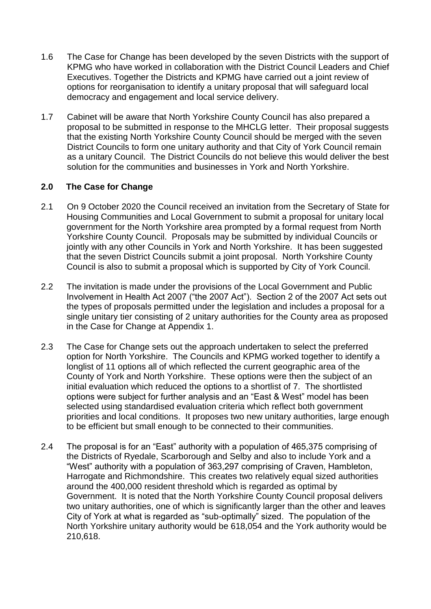- 1.6 The Case for Change has been developed by the seven Districts with the support of KPMG who have worked in collaboration with the District Council Leaders and Chief Executives. Together the Districts and KPMG have carried out a joint review of options for reorganisation to identify a unitary proposal that will safeguard local democracy and engagement and local service delivery.
- 1.7 Cabinet will be aware that North Yorkshire County Council has also prepared a proposal to be submitted in response to the MHCLG letter. Their proposal suggests that the existing North Yorkshire County Council should be merged with the seven District Councils to form one unitary authority and that City of York Council remain as a unitary Council. The District Councils do not believe this would deliver the best solution for the communities and businesses in York and North Yorkshire.

## **2.0 The Case for Change**

- 2.1 On 9 October 2020 the Council received an invitation from the Secretary of State for Housing Communities and Local Government to submit a proposal for unitary local government for the North Yorkshire area prompted by a formal request from North Yorkshire County Council. Proposals may be submitted by individual Councils or jointly with any other Councils in York and North Yorkshire. It has been suggested that the seven District Councils submit a joint proposal. North Yorkshire County Council is also to submit a proposal which is supported by City of York Council.
- 2.2 The invitation is made under the provisions of the Local Government and Public Involvement in Health Act 2007 ("the 2007 Act"). Section 2 of the 2007 Act sets out the types of proposals permitted under the legislation and includes a proposal for a single unitary tier consisting of 2 unitary authorities for the County area as proposed in the Case for Change at Appendix 1.
- 2.3 The Case for Change sets out the approach undertaken to select the preferred option for North Yorkshire. The Councils and KPMG worked together to identify a longlist of 11 options all of which reflected the current geographic area of the County of York and North Yorkshire. These options were then the subject of an initial evaluation which reduced the options to a shortlist of 7. The shortlisted options were subject for further analysis and an "East & West" model has been selected using standardised evaluation criteria which reflect both government priorities and local conditions. It proposes two new unitary authorities, large enough to be efficient but small enough to be connected to their communities.
- 2.4 The proposal is for an "East" authority with a population of 465,375 comprising of the Districts of Ryedale, Scarborough and Selby and also to include York and a "West" authority with a population of 363,297 comprising of Craven, Hambleton, Harrogate and Richmondshire. This creates two relatively equal sized authorities around the 400,000 resident threshold which is regarded as optimal by Government. It is noted that the North Yorkshire County Council proposal delivers two unitary authorities, one of which is significantly larger than the other and leaves City of York at what is regarded as "sub-optimally" sized. The population of the North Yorkshire unitary authority would be 618,054 and the York authority would be 210,618.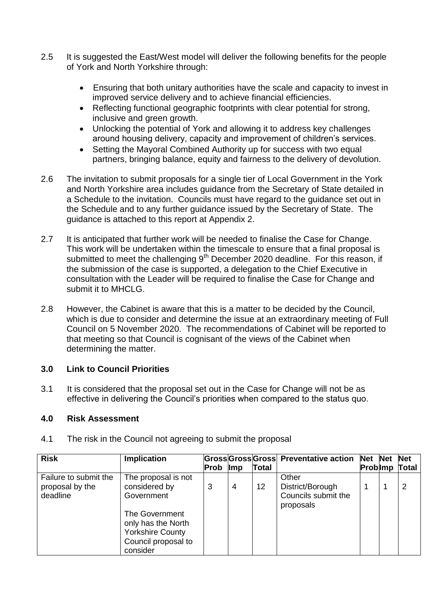- 2.5 It is suggested the East/West model will deliver the following benefits for the people of York and North Yorkshire through:
	- Ensuring that both unitary authorities have the scale and capacity to invest in improved service delivery and to achieve financial efficiencies.
	- Reflecting functional geographic footprints with clear potential for strong, inclusive and green growth.
	- Unlocking the potential of York and allowing it to address key challenges around housing delivery, capacity and improvement of children's services.
	- Setting the Mayoral Combined Authority up for success with two equal partners, bringing balance, equity and fairness to the delivery of devolution.
- 2.6 The invitation to submit proposals for a single tier of Local Government in the York and North Yorkshire area includes guidance from the Secretary of State detailed in a Schedule to the invitation. Councils must have regard to the guidance set out in the Schedule and to any further guidance issued by the Secretary of State. The guidance is attached to this report at Appendix 2.
- 2.7 It is anticipated that further work will be needed to finalise the Case for Change. This work will be undertaken within the timescale to ensure that a final proposal is submitted to meet the challenging  $9<sup>th</sup>$  December 2020 deadline. For this reason, if the submission of the case is supported, a delegation to the Chief Executive in consultation with the Leader will be required to finalise the Case for Change and submit it to MHCLG.
- 2.8 However, the Cabinet is aware that this is a matter to be decided by the Council, which is due to consider and determine the issue at an extraordinary meeting of Full Council on 5 November 2020. The recommendations of Cabinet will be reported to that meeting so that Council is cognisant of the views of the Cabinet when determining the matter.

## **3.0 Link to Council Priorities**

3.1 It is considered that the proposal set out in the Case for Change will not be as effective in delivering the Council's priorities when compared to the status quo.

#### **4.0 Risk Assessment**

| <b>Risk</b>                                          | <b>Implication</b>                                                                                                                                       |      |            |              | Gross Gross Gross Preventative action                         | Net Net | <b>Net</b>   |
|------------------------------------------------------|----------------------------------------------------------------------------------------------------------------------------------------------------------|------|------------|--------------|---------------------------------------------------------------|---------|--------------|
|                                                      |                                                                                                                                                          | Prob | <b>Imp</b> | <b>Total</b> |                                                               | Problmp | <b>Total</b> |
| Failure to submit the<br>proposal by the<br>deadline | The proposal is not<br>considered by<br>Government<br>The Government<br>only has the North<br><b>Yorkshire County</b><br>Council proposal to<br>consider | 3    | 4          | 12           | Other<br>District/Borough<br>Councils submit the<br>proposals |         | 2            |

4.1 The risk in the Council not agreeing to submit the proposal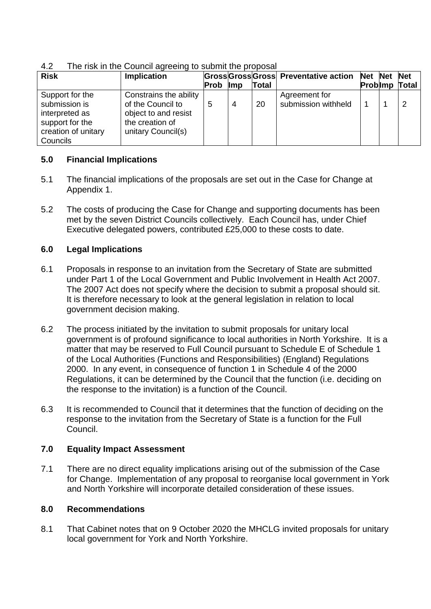| ── ™<br><b>THO HOR III THO ODDITION AGTOOMIY TO SUDTING THO PTOPOSUL</b> |                        |      |            |              |                                       |         |              |
|--------------------------------------------------------------------------|------------------------|------|------------|--------------|---------------------------------------|---------|--------------|
| <b>Risk</b>                                                              | <b>Implication</b>     |      |            |              | Gross Gross Gross Preventative action | Net Net | <b>Net</b>   |
|                                                                          |                        | Prob | <b>Imp</b> | <b>Total</b> |                                       | Problmp | <b>Total</b> |
| Support for the                                                          | Constrains the ability |      |            |              | Agreement for                         |         |              |
| submission is                                                            | of the Council to      | 5    | 4          | 20           | submission withheld                   |         | っ            |
| interpreted as                                                           | object to and resist   |      |            |              |                                       |         |              |
| support for the                                                          | the creation of        |      |            |              |                                       |         |              |
| creation of unitary                                                      | unitary Council(s)     |      |            |              |                                       |         |              |
| Councils                                                                 |                        |      |            |              |                                       |         |              |

4.2 The risk in the Council agreeing to submit the proposal

## **5.0 Financial Implications**

- 5.1 The financial implications of the proposals are set out in the Case for Change at Appendix 1.
- 5.2 The costs of producing the Case for Change and supporting documents has been met by the seven District Councils collectively. Each Council has, under Chief Executive delegated powers, contributed £25,000 to these costs to date.

# **6.0 Legal Implications**

- 6.1 Proposals in response to an invitation from the Secretary of State are submitted under Part 1 of the Local Government and Public Involvement in Health Act 2007. The 2007 Act does not specify where the decision to submit a proposal should sit. It is therefore necessary to look at the general legislation in relation to local government decision making.
- 6.2 The process initiated by the invitation to submit proposals for unitary local government is of profound significance to local authorities in North Yorkshire. It is a matter that may be reserved to Full Council pursuant to Schedule E of Schedule 1 of the Local Authorities (Functions and Responsibilities) (England) Regulations 2000. In any event, in consequence of function 1 in Schedule 4 of the 2000 Regulations, it can be determined by the Council that the function (i.e. deciding on the response to the invitation) is a function of the Council.
- 6.3 It is recommended to Council that it determines that the function of deciding on the response to the invitation from the Secretary of State is a function for the Full Council.

## **7.0 Equality Impact Assessment**

7.1 There are no direct equality implications arising out of the submission of the Case for Change. Implementation of any proposal to reorganise local government in York and North Yorkshire will incorporate detailed consideration of these issues.

## **8.0 Recommendations**

8.1 That Cabinet notes that on 9 October 2020 the MHCLG invited proposals for unitary local government for York and North Yorkshire.